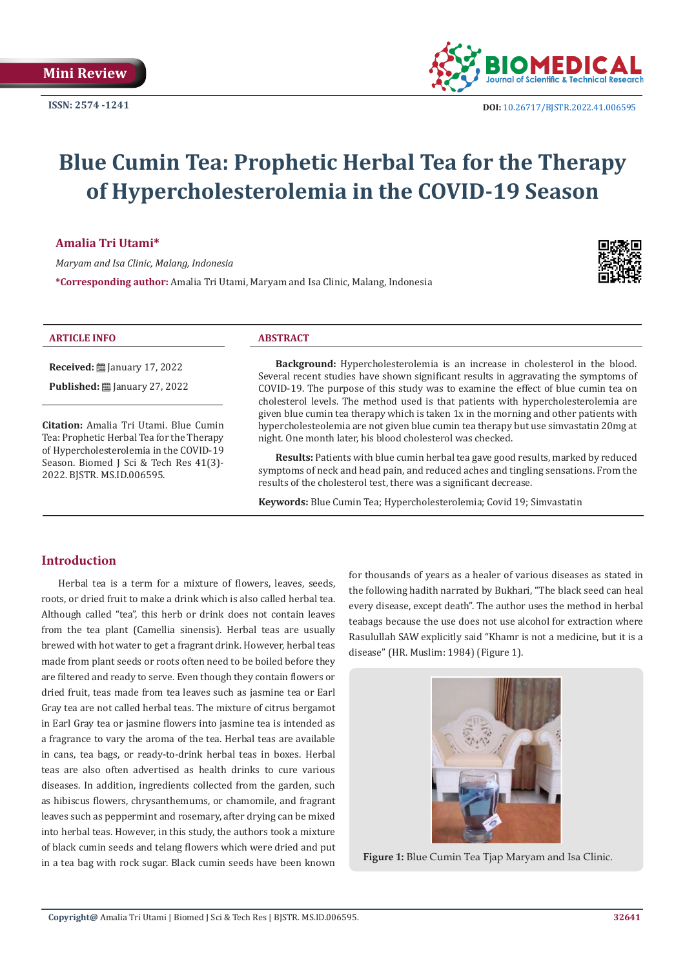

**ISSN: 2574 -1241 DOI:** [10.26717/BJSTR.2022.41.006595](https://dx.doi.org/10.26717/BJSTR.2022.41.006595)

# **Blue Cumin Tea: Prophetic Herbal Tea for the Therapy of Hypercholesterolemia in the COVID-19 Season**

**Amalia Tri Utami\***

*Maryam and Isa Clinic, Malang, Indonesia*

**\*Corresponding author:** Amalia Tri Utami, Maryam and Isa Clinic, Malang, Indonesia



#### **ARTICLE INFO ABSTRACT**

**Received:** ■ January 17, 2022

**Published:** ■ January 27, 2022

**Citation:** Amalia Tri Utami. Blue Cumin Tea: Prophetic Herbal Tea for the Therapy of Hypercholesterolemia in the COVID-19 Season. Biomed J Sci & Tech Res 41(3)-2022. BJSTR. MS.ID.006595.

**Background:** Hypercholesterolemia is an increase in cholesterol in the blood. Several recent studies have shown significant results in aggravating the symptoms of COVID-19. The purpose of this study was to examine the effect of blue cumin tea on cholesterol levels. The method used is that patients with hypercholesterolemia are given blue cumin tea therapy which is taken 1x in the morning and other patients with hypercholesteolemia are not given blue cumin tea therapy but use simvastatin 20mg at night. One month later, his blood cholesterol was checked.

**Results:** Patients with blue cumin herbal tea gave good results, marked by reduced symptoms of neck and head pain, and reduced aches and tingling sensations. From the results of the cholesterol test, there was a significant decrease.

**Keywords:** Blue Cumin Tea; Hypercholesterolemia; Covid 19; Simvastatin

# **Introduction**

Herbal tea is a term for a mixture of flowers, leaves, seeds, roots, or dried fruit to make a drink which is also called herbal tea. Although called "tea", this herb or drink does not contain leaves from the tea plant (Camellia sinensis). Herbal teas are usually brewed with hot water to get a fragrant drink. However, herbal teas made from plant seeds or roots often need to be boiled before they are filtered and ready to serve. Even though they contain flowers or dried fruit, teas made from tea leaves such as jasmine tea or Earl Gray tea are not called herbal teas. The mixture of citrus bergamot in Earl Gray tea or jasmine flowers into jasmine tea is intended as a fragrance to vary the aroma of the tea. Herbal teas are available in cans, tea bags, or ready-to-drink herbal teas in boxes. Herbal teas are also often advertised as health drinks to cure various diseases. In addition, ingredients collected from the garden, such as hibiscus flowers, chrysanthemums, or chamomile, and fragrant leaves such as peppermint and rosemary, after drying can be mixed into herbal teas. However, in this study, the authors took a mixture of black cumin seeds and telang flowers which were dried and put in a tea bag with rock sugar. Black cumin seeds have been known for thousands of years as a healer of various diseases as stated in the following hadith narrated by Bukhari, "The black seed can heal every disease, except death". The author uses the method in herbal teabags because the use does not use alcohol for extraction where Rasulullah SAW explicitly said "Khamr is not a medicine, but it is a disease" (HR. Muslim: 1984) (Figure 1).



**Figure 1:** Blue Cumin Tea Tjap Maryam and Isa Clinic.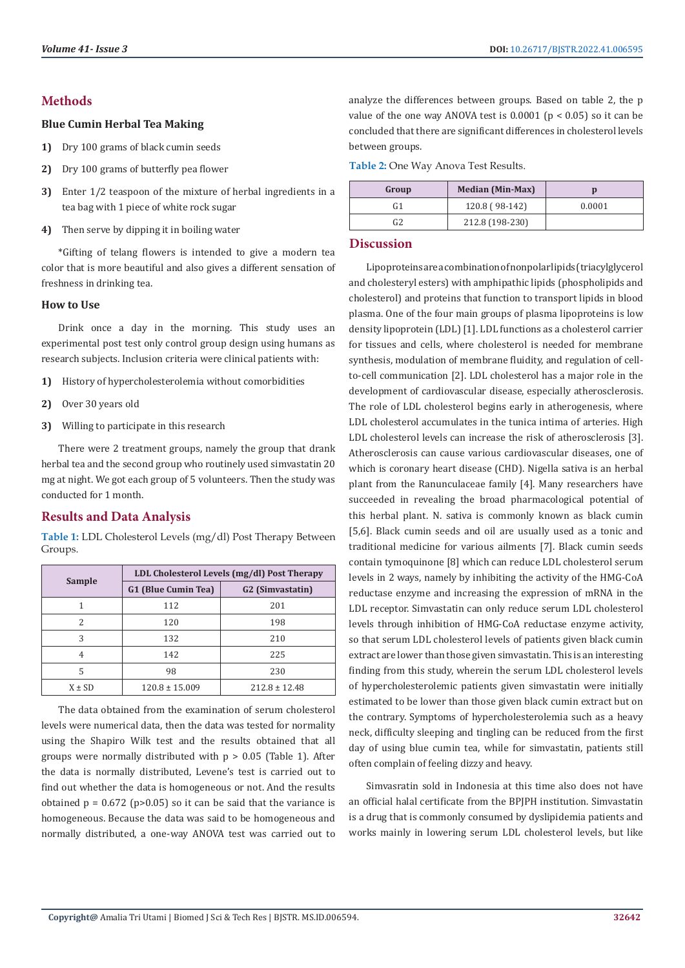# **Methods**

#### **Blue Cumin Herbal Tea Making**

- **1)** Dry 100 grams of black cumin seeds
- **2)** Dry 100 grams of butterfly pea flower
- **3)** Enter 1/2 teaspoon of the mixture of herbal ingredients in a tea bag with 1 piece of white rock sugar
- **4)** Then serve by dipping it in boiling water

\*Gifting of telang flowers is intended to give a modern tea color that is more beautiful and also gives a different sensation of freshness in drinking tea.

#### **How to Use**

Drink once a day in the morning. This study uses an experimental post test only control group design using humans as research subjects. Inclusion criteria were clinical patients with:

- **1)** History of hypercholesterolemia without comorbidities
- **2)** Over 30 years old
- **3)** Willing to participate in this research

There were 2 treatment groups, namely the group that drank herbal tea and the second group who routinely used simvastatin 20 mg at night. We got each group of 5 volunteers. Then the study was conducted for 1 month.

# **Results and Data Analysis**

**Table 1:** LDL Cholesterol Levels (mg/dl) Post Therapy Between Groups.

| <b>Sample</b> | LDL Cholesterol Levels (mg/dl) Post Therapy |                              |  |
|---------------|---------------------------------------------|------------------------------|--|
|               | G1 (Blue Cumin Tea)                         | G <sub>2</sub> (Simvastatin) |  |
|               | 112                                         | 201                          |  |
| 2             | 120                                         | 198                          |  |
| 3             | 132                                         | 210                          |  |
| 4             | 142                                         | 225                          |  |
| 5             | 98                                          | 230                          |  |
| $X \pm SD$    | $120.8 \pm 15.009$                          | $212.8 \pm 12.48$            |  |

The data obtained from the examination of serum cholesterol levels were numerical data, then the data was tested for normality using the Shapiro Wilk test and the results obtained that all groups were normally distributed with  $p > 0.05$  (Table 1). After the data is normally distributed, Levene's test is carried out to find out whether the data is homogeneous or not. And the results obtained  $p = 0.672$  ( $p > 0.05$ ) so it can be said that the variance is homogeneous. Because the data was said to be homogeneous and normally distributed, a one-way ANOVA test was carried out to

analyze the differences between groups. Based on table 2, the p value of the one way ANOVA test is  $0.0001$  ( $p < 0.05$ ) so it can be concluded that there are significant differences in cholesterol levels between groups.

**Table 2:** One Way Anova Test Results.

| Group | <b>Median (Min-Max)</b> |        |
|-------|-------------------------|--------|
|       | 120.8 (98-142)          | 0.0001 |
|       | 212.8 (198-230)         |        |

### **Discussion**

Lipoproteins are a combination of nonpolar lipids (triacylglycerol and cholesteryl esters) with amphipathic lipids (phospholipids and cholesterol) and proteins that function to transport lipids in blood plasma. One of the four main groups of plasma lipoproteins is low density lipoprotein (LDL) [1]. LDL functions as a cholesterol carrier for tissues and cells, where cholesterol is needed for membrane synthesis, modulation of membrane fluidity, and regulation of cellto-cell communication [2]. LDL cholesterol has a major role in the development of cardiovascular disease, especially atherosclerosis. The role of LDL cholesterol begins early in atherogenesis, where LDL cholesterol accumulates in the tunica intima of arteries. High LDL cholesterol levels can increase the risk of atherosclerosis [3]. Atherosclerosis can cause various cardiovascular diseases, one of which is coronary heart disease (CHD). Nigella sativa is an herbal plant from the Ranunculaceae family [4]. Many researchers have succeeded in revealing the broad pharmacological potential of this herbal plant. N. sativa is commonly known as black cumin [5,6]. Black cumin seeds and oil are usually used as a tonic and traditional medicine for various ailments [7]. Black cumin seeds contain tymoquinone [8] which can reduce LDL cholesterol serum levels in 2 ways, namely by inhibiting the activity of the HMG-CoA reductase enzyme and increasing the expression of mRNA in the LDL receptor. Simvastatin can only reduce serum LDL cholesterol levels through inhibition of HMG-CoA reductase enzyme activity, so that serum LDL cholesterol levels of patients given black cumin extract are lower than those given simvastatin. This is an interesting finding from this study, wherein the serum LDL cholesterol levels of hypercholesterolemic patients given simvastatin were initially estimated to be lower than those given black cumin extract but on the contrary. Symptoms of hypercholesterolemia such as a heavy neck, difficulty sleeping and tingling can be reduced from the first day of using blue cumin tea, while for simvastatin, patients still often complain of feeling dizzy and heavy.

Simvasratin sold in Indonesia at this time also does not have an official halal certificate from the BPJPH institution. Simvastatin is a drug that is commonly consumed by dyslipidemia patients and works mainly in lowering serum LDL cholesterol levels, but like